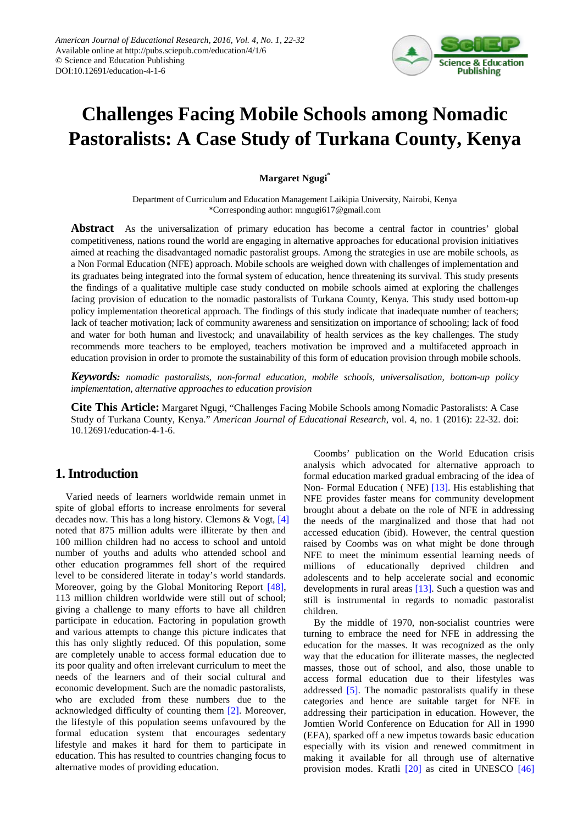

# **Challenges Facing Mobile Schools among Nomadic Pastoralists: A Case Study of Turkana County, Kenya**

## **Margaret Ngugi\***

Department of Curriculum and Education Management Laikipia University, Nairobi, Kenya \*Corresponding author: mngugi617@gmail.com

**Abstract** As the universalization of primary education has become a central factor in countries' global competitiveness, nations round the world are engaging in alternative approaches for educational provision initiatives aimed at reaching the disadvantaged nomadic pastoralist groups. Among the strategies in use are mobile schools, as a Non Formal Education (NFE) approach. Mobile schools are weighed down with challenges of implementation and its graduates being integrated into the formal system of education, hence threatening its survival. This study presents the findings of a qualitative multiple case study conducted on mobile schools aimed at exploring the challenges facing provision of education to the nomadic pastoralists of Turkana County, Kenya. This study used bottom-up policy implementation theoretical approach. The findings of this study indicate that inadequate number of teachers; lack of teacher motivation; lack of community awareness and sensitization on importance of schooling; lack of food and water for both human and livestock; and unavailability of health services as the key challenges. The study recommends more teachers to be employed, teachers motivation be improved and a multifaceted approach in education provision in order to promote the sustainability of this form of education provision through mobile schools.

*Keywords: nomadic pastoralists, non-formal education, mobile schools, universalisation, bottom-up policy implementation, alternative approaches to education provision*

**Cite This Article:** Margaret Ngugi, "Challenges Facing Mobile Schools among Nomadic Pastoralists: A Case Study of Turkana County, Kenya." *American Journal of Educational Research*, vol. 4, no. 1 (2016): 22-32. doi: 10.12691/education-4-1-6.

# **1. Introduction**

Varied needs of learners worldwide remain unmet in spite of global efforts to increase enrolments for several decades now. This has a long history. Clemons & Vogt, [\[4\]](#page-9-0) noted that 875 million adults were illiterate by then and 100 million children had no access to school and untold number of youths and adults who attended school and other education programmes fell short of the required level to be considered literate in today's world standards. Moreover, going by the Global Monitoring Report [\[48\],](#page-10-0) 113 million children worldwide were still out of school; giving a challenge to many efforts to have all children participate in education. Factoring in population growth and various attempts to change this picture indicates that this has only slightly reduced. Of this population, some are completely unable to access formal education due to its poor quality and often irrelevant curriculum to meet the needs of the learners and of their social cultural and economic development. Such are the nomadic pastoralists, who are excluded from these numbers due to the acknowledged difficulty of counting them [\[2\].](#page-9-1) Moreover, the lifestyle of this population seems unfavoured by the formal education system that encourages sedentary lifestyle and makes it hard for them to participate in education. This has resulted to countries changing focus to alternative modes of providing education.

Coombs' publication on the World Education crisis analysis which advocated for alternative approach to formal education marked gradual embracing of the idea of Non- Formal Education ( NFE) [\[13\].](#page-10-1) His establishing that NFE provides faster means for community development brought about a debate on the role of NFE in addressing the needs of the marginalized and those that had not accessed education (ibid). However, the central question raised by Coombs was on what might be done through NFE to meet the minimum essential learning needs of millions of educationally deprived children and adolescents and to help accelerate social and economic developments in rural areas [\[13\].](#page-10-1) Such a question was and still is instrumental in regards to nomadic pastoralist children.

By the middle of 1970, non-socialist countries were turning to embrace the need for NFE in addressing the education for the masses. It was recognized as the only way that the education for illiterate masses, the neglected masses, those out of school, and also, those unable to access formal education due to their lifestyles was addressed [\[5\].](#page-9-2) The nomadic pastoralists qualify in these categories and hence are suitable target for NFE in addressing their participation in education. However, the Jomtien World Conference on Education for All in 1990 (EFA), sparked off a new impetus towards basic education especially with its vision and renewed commitment in making it available for all through use of alternative provision modes. Kratli [\[20\]](#page-10-2) as cited in UNESCO [\[46\]](#page-10-3)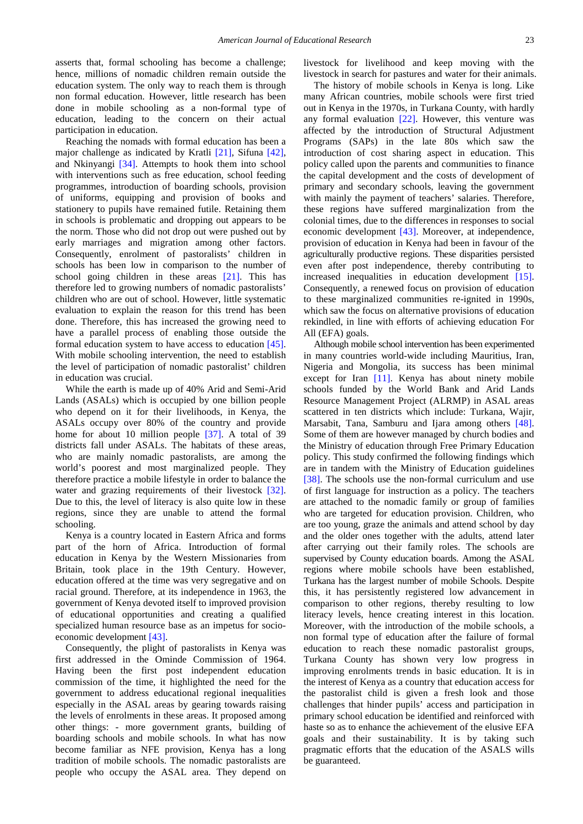asserts that, formal schooling has become a challenge; hence, millions of nomadic children remain outside the education system. The only way to reach them is through non formal education. However, little research has been done in mobile schooling as a non-formal type of education, leading to the concern on their actual participation in education.

Reaching the nomads with formal education has been a major challenge as indicated by Kratli [\[21\],](#page-10-4) Sifuna [\[42\],](#page-10-5) and Nkinyangi [\[34\].](#page-10-6) Attempts to hook them into school with interventions such as free education, school feeding programmes, introduction of boarding schools, provision of uniforms, equipping and provision of books and stationery to pupils have remained futile. Retaining them in schools is problematic and dropping out appears to be the norm. Those who did not drop out were pushed out by early marriages and migration among other factors. Consequently, enrolment of pastoralists' children in schools has been low in comparison to the number of school going children in these areas [\[21\].](#page-10-4) This has therefore led to growing numbers of nomadic pastoralists' children who are out of school. However, little systematic evaluation to explain the reason for this trend has been done. Therefore, this has increased the growing need to have a parallel process of enabling those outside the formal education system to have access to education [\[45\].](#page-10-7) With mobile schooling intervention, the need to establish the level of participation of nomadic pastoralist' children in education was crucial.

While the earth is made up of 40% Arid and Semi-Arid Lands (ASALs) which is occupied by one billion people who depend on it for their livelihoods, in Kenya, the ASALs occupy over 80% of the country and provide home for about 10 million people [\[37\].](#page-10-8) A total of 39 districts fall under ASALs. The habitats of these areas, who are mainly nomadic pastoralists, are among the world's poorest and most marginalized people. They therefore practice a mobile lifestyle in order to balance the water and grazing requirements of their livestock [\[32\].](#page-10-9) Due to this, the level of literacy is also quite low in these regions, since they are unable to attend the formal schooling.

Kenya is a country located in Eastern Africa and forms part of the horn of Africa. Introduction of formal education in Kenya by the Western Missionaries from Britain, took place in the 19th Century. However, education offered at the time was very segregative and on racial ground. Therefore, at its independence in 1963, the government of Kenya devoted itself to improved provision of educational opportunities and creating a qualified specialized human resource base as an impetus for socioeconomic development [\[43\].](#page-10-10)

Consequently, the plight of pastoralists in Kenya was first addressed in the Ominde Commission of 1964. Having been the first post independent education commission of the time, it highlighted the need for the government to address educational regional inequalities especially in the ASAL areas by gearing towards raising the levels of enrolments in these areas. It proposed among other things: - more government grants, building of boarding schools and mobile schools. In what has now become familiar as NFE provision, Kenya has a long tradition of mobile schools. The nomadic pastoralists are people who occupy the ASAL area. They depend on livestock for livelihood and keep moving with the livestock in search for pastures and water for their animals.

The history of mobile schools in Kenya is long. Like many African countries, mobile schools were first tried out in Kenya in the 1970s, in Turkana County, with hardly any formal evaluation [\[22\].](#page-10-11) However, this venture was affected by the introduction of Structural Adjustment Programs (SAPs) in the late 80s which saw the introduction of cost sharing aspect in education. This policy called upon the parents and communities to finance the capital development and the costs of development of primary and secondary schools, leaving the government with mainly the payment of teachers' salaries. Therefore, these regions have suffered marginalization from the colonial times, due to the differences in responses to social economic development [\[43\].](#page-10-10) Moreover, at independence, provision of education in Kenya had been in favour of the agriculturally productive regions. These disparities persisted even after post independence, thereby contributing to increased inequalities in education development [\[15\].](#page-10-12) Consequently, a renewed focus on provision of education to these marginalized communities re-ignited in 1990s, which saw the focus on alternative provisions of education rekindled, in line with efforts of achieving education For All (EFA) goals.

Although mobile school intervention has been experimented in many countries world-wide including Mauritius, Iran, Nigeria and Mongolia, its success has been minimal except for Iran [\[11\].](#page-10-13) Kenya has about ninety mobile schools funded by the World Bank and Arid Lands Resource Management Project (ALRMP) in ASAL areas scattered in ten districts which include: Turkana, Wajir, Marsabit, Tana, Samburu and Ijara among others [\[48\].](#page-10-0) Some of them are however managed by church bodies and the Ministry of education through Free Primary Education policy. This study confirmed the following findings which are in tandem with the Ministry of Education guidelines [\[38\].](#page-10-14) The schools use the non-formal curriculum and use of first language for instruction as a policy. The teachers are attached to the nomadic family or group of families who are targeted for education provision. Children, who are too young, graze the animals and attend school by day and the older ones together with the adults, attend later after carrying out their family roles. The schools are supervised by County education boards. Among the ASAL regions where mobile schools have been established, Turkana has the largest number of mobile Schools. Despite this, it has persistently registered low advancement in comparison to other regions, thereby resulting to low literacy levels, hence creating interest in this location. Moreover, with the introduction of the mobile schools, a non formal type of education after the failure of formal education to reach these nomadic pastoralist groups, Turkana County has shown very low progress in improving enrolments trends in basic education. It is in the interest of Kenya as a country that education access for the pastoralist child is given a fresh look and those challenges that hinder pupils' access and participation in primary school education be identified and reinforced with haste so as to enhance the achievement of the elusive EFA goals and their sustainability. It is by taking such pragmatic efforts that the education of the ASALS wills be guaranteed.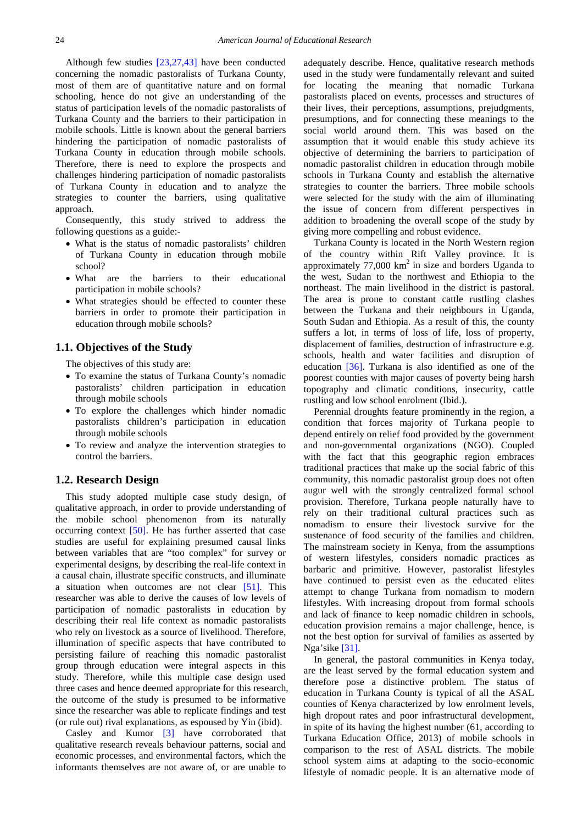Although few studies [\[23,27,43\]](#page-10-15) have been conducted concerning the nomadic pastoralists of Turkana County, most of them are of quantitative nature and on formal schooling, hence do not give an understanding of the status of participation levels of the nomadic pastoralists of Turkana County and the barriers to their participation in mobile schools. Little is known about the general barriers hindering the participation of nomadic pastoralists of Turkana County in education through mobile schools. Therefore, there is need to explore the prospects and challenges hindering participation of nomadic pastoralists of Turkana County in education and to analyze the strategies to counter the barriers, using qualitative approach.

Consequently, this study strived to address the following questions as a guide:-

- What is the status of nomadic pastoralists' children of Turkana County in education through mobile school?
- What are the barriers to their educational participation in mobile schools?
- What strategies should be effected to counter these barriers in order to promote their participation in education through mobile schools?

## **1.1. Objectives of the Study**

The objectives of this study are:

- To examine the status of Turkana County's nomadic pastoralists' children participation in education through mobile schools
- To explore the challenges which hinder nomadic pastoralists children's participation in education through mobile schools
- To review and analyze the intervention strategies to control the barriers.

### **1.2. Research Design**

This study adopted multiple case study design, of qualitative approach, in order to provide understanding of the mobile school phenomenon from its naturally occurring context [\[50\].](#page-10-16) He has further asserted that case studies are useful for explaining presumed causal links between variables that are "too complex" for survey or experimental designs, by describing the real-life context in a causal chain, illustrate specific constructs, and illuminate a situation when outcomes are not clear [\[51\].](#page-10-17) This researcher was able to derive the causes of low levels of participation of nomadic pastoralists in education by describing their real life context as nomadic pastoralists who rely on livestock as a source of livelihood. Therefore, illumination of specific aspects that have contributed to persisting failure of reaching this nomadic pastoralist group through education were integral aspects in this study. Therefore, while this multiple case design used three cases and hence deemed appropriate for this research, the outcome of the study is presumed to be informative since the researcher was able to replicate findings and test (or rule out) rival explanations, as espoused by Yin (ibid).

Casley and Kumor [\[3\]](#page-9-3) have corroborated that qualitative research reveals behaviour patterns, social and economic processes, and environmental factors, which the informants themselves are not aware of, or are unable to

adequately describe. Hence, qualitative research methods used in the study were fundamentally relevant and suited for locating the meaning that nomadic Turkana pastoralists placed on events, processes and structures of their lives, their perceptions, assumptions, prejudgments, presumptions, and for connecting these meanings to the social world around them. This was based on the assumption that it would enable this study achieve its objective of determining the barriers to participation of nomadic pastoralist children in education through mobile schools in Turkana County and establish the alternative strategies to counter the barriers. Three mobile schools were selected for the study with the aim of illuminating the issue of concern from different perspectives in addition to broadening the overall scope of the study by giving more compelling and robust evidence.

Turkana County is located in the North Western region of the country within Rift Valley province. It is approximately  $77,000 \text{ km}^2$  in size and borders Uganda to the west, Sudan to the northwest and Ethiopia to the northeast. The main livelihood in the district is pastoral. The area is prone to constant cattle rustling clashes between the Turkana and their neighbours in Uganda, South Sudan and Ethiopia. As a result of this, the county suffers a lot, in terms of loss of life, loss of property, displacement of families, destruction of infrastructure e.g. schools, health and water facilities and disruption of education [\[36\].](#page-10-18) Turkana is also identified as one of the poorest counties with major causes of poverty being harsh topography and climatic conditions, insecurity, cattle rustling and low school enrolment (Ibid.).

Perennial droughts feature prominently in the region, a condition that forces majority of Turkana people to depend entirely on relief food provided by the government and non-governmental organizations (NGO). Coupled with the fact that this geographic region embraces traditional practices that make up the social fabric of this community, this nomadic pastoralist group does not often augur well with the strongly centralized formal school provision. Therefore, Turkana people naturally have to rely on their traditional cultural practices such as nomadism to ensure their livestock survive for the sustenance of food security of the families and children. The mainstream society in Kenya, from the assumptions of western lifestyles, considers nomadic practices as barbaric and primitive. However, pastoralist lifestyles have continued to persist even as the educated elites attempt to change Turkana from nomadism to modern lifestyles. With increasing dropout from formal schools and lack of finance to keep nomadic children in schools, education provision remains a major challenge, hence, is not the best option for survival of families as asserted by Nga'sike [\[31\].](#page-10-19)

In general, the pastoral communities in Kenya today, are the least served by the formal education system and therefore pose a distinctive problem. The status of education in Turkana County is typical of all the ASAL counties of Kenya characterized by low enrolment levels, high dropout rates and poor infrastructural development, in spite of its having the highest number (61, according to Turkana Education Office, 2013) of mobile schools in comparison to the rest of ASAL districts. The mobile school system aims at adapting to the socio‐economic lifestyle of nomadic people. It is an alternative mode of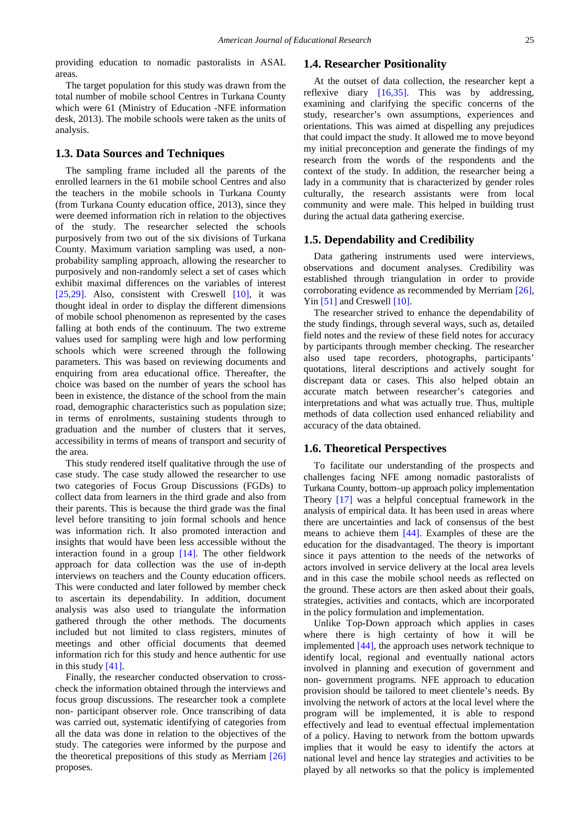providing education to nomadic pastoralists in ASAL areas.

The target population for this study was drawn from the total number of mobile school Centres in Turkana County which were 61 (Ministry of Education -NFE information desk, 2013). The mobile schools were taken as the units of analysis.

#### **1.3. Data Sources and Techniques**

The sampling frame included all the parents of the enrolled learners in the 61 mobile school Centres and also the teachers in the mobile schools in Turkana County (from Turkana County education office, 2013), since they were deemed information rich in relation to the objectives of the study. The researcher selected the schools purposively from two out of the six divisions of Turkana County. Maximum variation sampling was used, a nonprobability sampling approach, allowing the researcher to purposively and non-randomly select a set of cases which exhibit maximal differences on the variables of interest  $[25,29]$ . Also, consistent with Creswell  $[10]$ , it was thought ideal in order to display the different dimensions of mobile school phenomenon as represented by the cases falling at both ends of the continuum. The two extreme values used for sampling were high and low performing schools which were screened through the following parameters. This was based on reviewing documents and enquiring from area educational office. Thereafter, the choice was based on the number of years the school has been in existence, the distance of the school from the main road, demographic characteristics such as population size; in terms of enrolments, sustaining students through to graduation and the number of clusters that it serves, accessibility in terms of means of transport and security of the area.

This study rendered itself qualitative through the use of case study. The case study allowed the researcher to use two categories of Focus Group Discussions (FGDs) to collect data from learners in the third grade and also from their parents. This is because the third grade was the final level before transiting to join formal schools and hence was information rich. It also promoted interaction and insights that would have been less accessible without the interaction found in a group [\[14\].](#page-10-22) The other fieldwork approach for data collection was the use of in-depth interviews on teachers and the County education officers. This were conducted and later followed by member check to ascertain its dependability. In addition, document analysis was also used to triangulate the information gathered through the other methods. The documents included but not limited to class registers, minutes of meetings and other official documents that deemed information rich for this study and hence authentic for use in this study  $[41]$ .

Finally, the researcher conducted observation to crosscheck the information obtained through the interviews and focus group discussions. The researcher took a complete non- participant observer role. Once transcribing of data was carried out, systematic identifying of categories from all the data was done in relation to the objectives of the study. The categories were informed by the purpose and the theoretical prepositions of this study as Merriam [\[26\]](#page-10-24) proposes.

#### **1.4. Researcher Positionality**

At the outset of data collection, the researcher kept a reflexive diary [\[16,35\].](#page-10-25) This was by addressing, examining and clarifying the specific concerns of the study, researcher's own assumptions, experiences and orientations. This was aimed at dispelling any prejudices that could impact the study. It allowed me to move beyond my initial preconception and generate the findings of my research from the words of the respondents and the context of the study. In addition, the researcher being a lady in a community that is characterized by gender roles culturally, the research assistants were from local community and were male. This helped in building trust during the actual data gathering exercise.

#### **1.5. Dependability and Credibility**

Data gathering instruments used were interviews, observations and document analyses. Credibility was established through triangulation in order to provide corroborating evidence as recommended by Merriam [\[26\],](#page-10-24) Yi[n \[51\]](#page-10-17) and Creswell [\[10\].](#page-10-21)

The researcher strived to enhance the dependability of the study findings, through several ways, such as, detailed field notes and the review of these field notes for accuracy by participants through member checking. The researcher also used tape recorders, photographs, participants' quotations, literal descriptions and actively sought for discrepant data or cases. This also helped obtain an accurate match between researcher's categories and interpretations and what was actually true. Thus, multiple methods of data collection used enhanced reliability and accuracy of the data obtained.

#### **1.6. Theoretical Perspectives**

To facilitate our understanding of the prospects and challenges facing NFE among nomadic pastoralists of Turkana County, bottom–up approach policy implementation Theory [\[17\]](#page-10-26) was a helpful conceptual framework in the analysis of empirical data. It has been used in areas where there are uncertainties and lack of consensus of the best means to achieve them [\[44\].](#page-10-27) Examples of these are the education for the disadvantaged. The theory is important since it pays attention to the needs of the networks of actors involved in service delivery at the local area levels and in this case the mobile school needs as reflected on the ground. These actors are then asked about their goals, strategies, activities and contacts, which are incorporated in the policy formulation and implementation.

Unlike Top-Down approach which applies in cases where there is high certainty of how it will be implemented [\[44\],](#page-10-27) the approach uses network technique to identify local, regional and eventually national actors involved in planning and execution of government and non- government programs. NFE approach to education provision should be tailored to meet clientele's needs. By involving the network of actors at the local level where the program will be implemented, it is able to respond effectively and lead to eventual effectual implementation of a policy. Having to network from the bottom upwards implies that it would be easy to identify the actors at national level and hence lay strategies and activities to be played by all networks so that the policy is implemented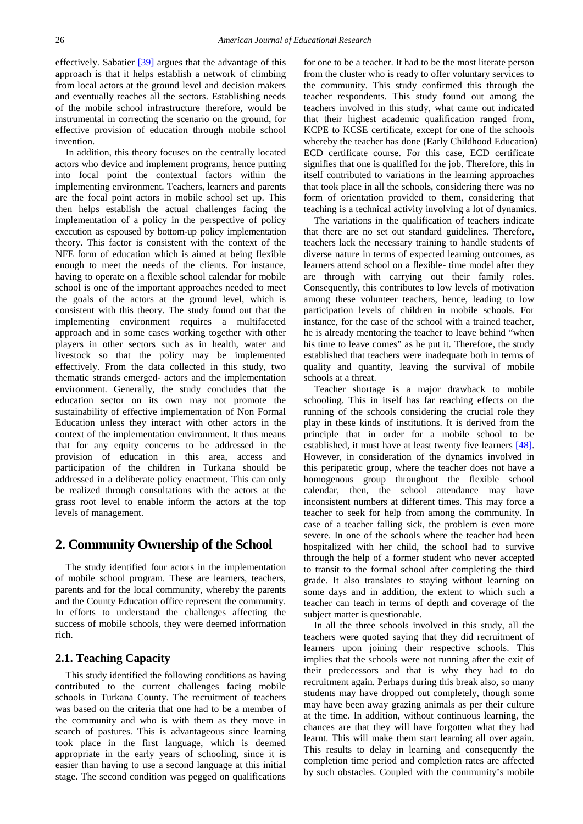effectively. Sabatier [\[39\]](#page-10-28) argues that the advantage of this approach is that it helps establish a network of climbing from local actors at the ground level and decision makers and eventually reaches all the sectors. Establishing needs of the mobile school infrastructure therefore, would be instrumental in correcting the scenario on the ground, for effective provision of education through mobile school invention.

In addition, this theory focuses on the centrally located actors who device and implement programs, hence putting into focal point the contextual factors within the implementing environment. Teachers, learners and parents are the focal point actors in mobile school set up. This then helps establish the actual challenges facing the implementation of a policy in the perspective of policy execution as espoused by bottom-up policy implementation theory. This factor is consistent with the context of the NFE form of education which is aimed at being flexible enough to meet the needs of the clients. For instance, having to operate on a flexible school calendar for mobile school is one of the important approaches needed to meet the goals of the actors at the ground level, which is consistent with this theory. The study found out that the implementing environment requires a multifaceted approach and in some cases working together with other players in other sectors such as in health, water and livestock so that the policy may be implemented effectively. From the data collected in this study, two thematic strands emerged- actors and the implementation environment. Generally, the study concludes that the education sector on its own may not promote the sustainability of effective implementation of Non Formal Education unless they interact with other actors in the context of the implementation environment. It thus means that for any equity concerns to be addressed in the provision of education in this area, access and participation of the children in Turkana should be addressed in a deliberate policy enactment. This can only be realized through consultations with the actors at the grass root level to enable inform the actors at the top levels of management.

## **2. Community Ownership of the School**

The study identified four actors in the implementation of mobile school program. These are learners, teachers, parents and for the local community, whereby the parents and the County Education office represent the community. In efforts to understand the challenges affecting the success of mobile schools, they were deemed information rich.

## **2.1. Teaching Capacity**

This study identified the following conditions as having contributed to the current challenges facing mobile schools in Turkana County. The recruitment of teachers was based on the criteria that one had to be a member of the community and who is with them as they move in search of pastures. This is advantageous since learning took place in the first language, which is deemed appropriate in the early years of schooling, since it is easier than having to use a second language at this initial stage. The second condition was pegged on qualifications

for one to be a teacher. It had to be the most literate person from the cluster who is ready to offer voluntary services to the community. This study confirmed this through the teacher respondents. This study found out among the teachers involved in this study, what came out indicated that their highest academic qualification ranged from, KCPE to KCSE certificate, except for one of the schools whereby the teacher has done (Early Childhood Education) ECD certificate course. For this case, ECD certificate signifies that one is qualified for the job. Therefore, this in itself contributed to variations in the learning approaches that took place in all the schools, considering there was no form of orientation provided to them, considering that teaching is a technical activity involving a lot of dynamics.

The variations in the qualification of teachers indicate that there are no set out standard guidelines. Therefore, teachers lack the necessary training to handle students of diverse nature in terms of expected learning outcomes, as learners attend school on a flexible- time model after they are through with carrying out their family roles. Consequently, this contributes to low levels of motivation among these volunteer teachers, hence, leading to low participation levels of children in mobile schools. For instance, for the case of the school with a trained teacher, he is already mentoring the teacher to leave behind "when his time to leave comes" as he put it. Therefore, the study established that teachers were inadequate both in terms of quality and quantity, leaving the survival of mobile schools at a threat.

Teacher shortage is a major drawback to mobile schooling. This in itself has far reaching effects on the running of the schools considering the crucial role they play in these kinds of institutions. It is derived from the principle that in order for a mobile school to be established, it must have at least twenty five learners [\[48\].](#page-10-0) However, in consideration of the dynamics involved in this peripatetic group, where the teacher does not have a homogenous group throughout the flexible school calendar, then, the school attendance may have inconsistent numbers at different times. This may force a teacher to seek for help from among the community. In case of a teacher falling sick, the problem is even more severe. In one of the schools where the teacher had been hospitalized with her child, the school had to survive through the help of a former student who never accepted to transit to the formal school after completing the third grade. It also translates to staying without learning on some days and in addition, the extent to which such a teacher can teach in terms of depth and coverage of the subject matter is questionable.

In all the three schools involved in this study, all the teachers were quoted saying that they did recruitment of learners upon joining their respective schools. This implies that the schools were not running after the exit of their predecessors and that is why they had to do recruitment again. Perhaps during this break also, so many students may have dropped out completely, though some may have been away grazing animals as per their culture at the time. In addition, without continuous learning, the chances are that they will have forgotten what they had learnt. This will make them start learning all over again. This results to delay in learning and consequently the completion time period and completion rates are affected by such obstacles. Coupled with the community's mobile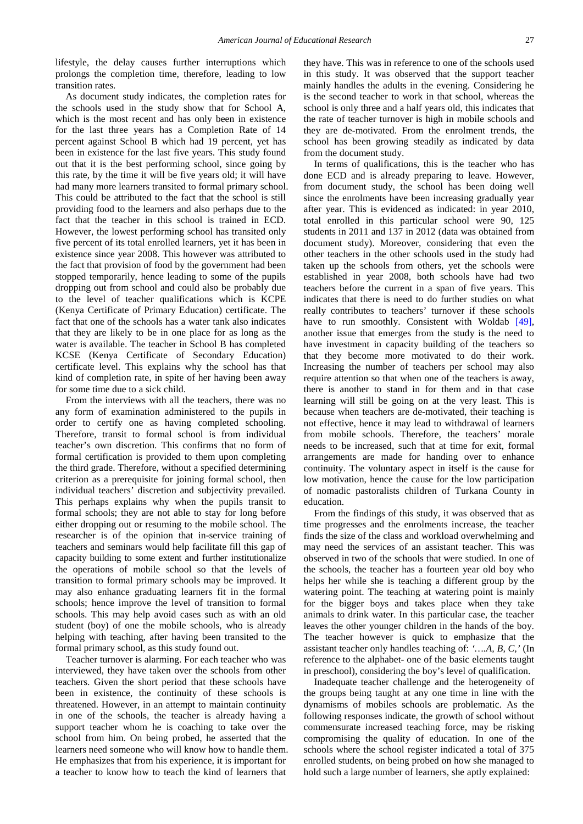lifestyle, the delay causes further interruptions which prolongs the completion time, therefore, leading to low transition rates.

As document study indicates, the completion rates for the schools used in the study show that for School A, which is the most recent and has only been in existence for the last three years has a Completion Rate of 14 percent against School B which had 19 percent, yet has been in existence for the last five years. This study found out that it is the best performing school, since going by this rate, by the time it will be five years old; it will have had many more learners transited to formal primary school. This could be attributed to the fact that the school is still providing food to the learners and also perhaps due to the fact that the teacher in this school is trained in ECD. However, the lowest performing school has transited only five percent of its total enrolled learners, yet it has been in existence since year 2008. This however was attributed to the fact that provision of food by the government had been stopped temporarily, hence leading to some of the pupils dropping out from school and could also be probably due to the level of teacher qualifications which is KCPE (Kenya Certificate of Primary Education) certificate. The fact that one of the schools has a water tank also indicates that they are likely to be in one place for as long as the water is available. The teacher in School B has completed KCSE (Kenya Certificate of Secondary Education) certificate level. This explains why the school has that kind of completion rate, in spite of her having been away for some time due to a sick child.

From the interviews with all the teachers, there was no any form of examination administered to the pupils in order to certify one as having completed schooling. Therefore, transit to formal school is from individual teacher's own discretion. This confirms that no form of formal certification is provided to them upon completing the third grade. Therefore, without a specified determining criterion as a prerequisite for joining formal school, then individual teachers' discretion and subjectivity prevailed. This perhaps explains why when the pupils transit to formal schools; they are not able to stay for long before either dropping out or resuming to the mobile school. The researcher is of the opinion that in-service training of teachers and seminars would help facilitate fill this gap of capacity building to some extent and further institutionalize the operations of mobile school so that the levels of transition to formal primary schools may be improved. It may also enhance graduating learners fit in the formal schools; hence improve the level of transition to formal schools. This may help avoid cases such as with an old student (boy) of one the mobile schools, who is already helping with teaching, after having been transited to the formal primary school, as this study found out.

Teacher turnover is alarming. For each teacher who was interviewed, they have taken over the schools from other teachers. Given the short period that these schools have been in existence, the continuity of these schools is threatened. However, in an attempt to maintain continuity in one of the schools, the teacher is already having a support teacher whom he is coaching to take over the school from him. On being probed, he asserted that the learners need someone who will know how to handle them. He emphasizes that from his experience, it is important for a teacher to know how to teach the kind of learners that they have. This was in reference to one of the schools used in this study. It was observed that the support teacher mainly handles the adults in the evening. Considering he is the second teacher to work in that school, whereas the school is only three and a half years old, this indicates that the rate of teacher turnover is high in mobile schools and they are de-motivated. From the enrolment trends, the school has been growing steadily as indicated by data from the document study.

In terms of qualifications, this is the teacher who has done ECD and is already preparing to leave. However, from document study, the school has been doing well since the enrolments have been increasing gradually year after year. This is evidenced as indicated: in year 2010, total enrolled in this particular school were 90, 125 students in 2011 and 137 in 2012 (data was obtained from document study). Moreover, considering that even the other teachers in the other schools used in the study had taken up the schools from others, yet the schools were established in year 2008, both schools have had two teachers before the current in a span of five years. This indicates that there is need to do further studies on what really contributes to teachers' turnover if these schools have to run smoothly. Consistent with Woldab [\[49\],](#page-10-29) another issue that emerges from the study is the need to have investment in capacity building of the teachers so that they become more motivated to do their work. Increasing the number of teachers per school may also require attention so that when one of the teachers is away, there is another to stand in for them and in that case learning will still be going on at the very least. This is because when teachers are de-motivated, their teaching is not effective, hence it may lead to withdrawal of learners from mobile schools. Therefore, the teachers' morale needs to be increased, such that at time for exit, formal arrangements are made for handing over to enhance continuity. The voluntary aspect in itself is the cause for low motivation, hence the cause for the low participation of nomadic pastoralists children of Turkana County in education.

From the findings of this study, it was observed that as time progresses and the enrolments increase, the teacher finds the size of the class and workload overwhelming and may need the services of an assistant teacher. This was observed in two of the schools that were studied. In one of the schools, the teacher has a fourteen year old boy who helps her while she is teaching a different group by the watering point. The teaching at watering point is mainly for the bigger boys and takes place when they take animals to drink water. In this particular case, the teacher leaves the other younger children in the hands of the boy. The teacher however is quick to emphasize that the assistant teacher only handles teaching of: *'….A, B, C,'* (In reference to the alphabet- one of the basic elements taught in preschool), considering the boy's level of qualification.

Inadequate teacher challenge and the heterogeneity of the groups being taught at any one time in line with the dynamisms of mobiles schools are problematic. As the following responses indicate, the growth of school without commensurate increased teaching force, may be risking compromising the quality of education. In one of the schools where the school register indicated a total of 375 enrolled students, on being probed on how she managed to hold such a large number of learners, she aptly explained: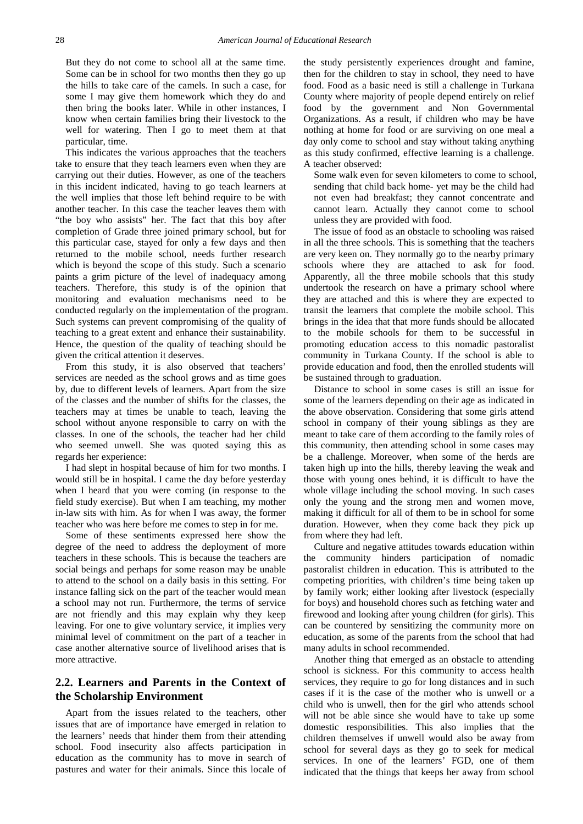But they do not come to school all at the same time. Some can be in school for two months then they go up the hills to take care of the camels. In such a case, for some I may give them homework which they do and then bring the books later. While in other instances, I know when certain families bring their livestock to the well for watering. Then I go to meet them at that particular, time.

This indicates the various approaches that the teachers take to ensure that they teach learners even when they are carrying out their duties. However, as one of the teachers in this incident indicated, having to go teach learners at the well implies that those left behind require to be with another teacher. In this case the teacher leaves them with "the boy who assists" her. The fact that this boy after completion of Grade three joined primary school, but for this particular case, stayed for only a few days and then returned to the mobile school, needs further research which is beyond the scope of this study. Such a scenario paints a grim picture of the level of inadequacy among teachers. Therefore, this study is of the opinion that monitoring and evaluation mechanisms need to be conducted regularly on the implementation of the program. Such systems can prevent compromising of the quality of teaching to a great extent and enhance their sustainability. Hence, the question of the quality of teaching should be given the critical attention it deserves.

From this study, it is also observed that teachers' services are needed as the school grows and as time goes by, due to different levels of learners. Apart from the size of the classes and the number of shifts for the classes, the teachers may at times be unable to teach, leaving the school without anyone responsible to carry on with the classes. In one of the schools, the teacher had her child who seemed unwell. She was quoted saying this as regards her experience:

I had slept in hospital because of him for two months. I would still be in hospital. I came the day before yesterday when I heard that you were coming (in response to the field study exercise). But when I am teaching, my mother in-law sits with him. As for when I was away, the former teacher who was here before me comes to step in for me.

Some of these sentiments expressed here show the degree of the need to address the deployment of more teachers in these schools. This is because the teachers are social beings and perhaps for some reason may be unable to attend to the school on a daily basis in this setting. For instance falling sick on the part of the teacher would mean a school may not run. Furthermore, the terms of service are not friendly and this may explain why they keep leaving. For one to give voluntary service, it implies very minimal level of commitment on the part of a teacher in case another alternative source of livelihood arises that is more attractive.

## **2.2. Learners and Parents in the Context of the Scholarship Environment**

Apart from the issues related to the teachers, other issues that are of importance have emerged in relation to the learners' needs that hinder them from their attending school. Food insecurity also affects participation in education as the community has to move in search of pastures and water for their animals. Since this locale of

the study persistently experiences drought and famine, then for the children to stay in school, they need to have food. Food as a basic need is still a challenge in Turkana County where majority of people depend entirely on relief food by the government and Non Governmental Organizations. As a result, if children who may be have nothing at home for food or are surviving on one meal a day only come to school and stay without taking anything as this study confirmed, effective learning is a challenge. A teacher observed:

Some walk even for seven kilometers to come to school, sending that child back home- yet may be the child had not even had breakfast; they cannot concentrate and cannot learn. Actually they cannot come to school unless they are provided with food.

The issue of food as an obstacle to schooling was raised in all the three schools. This is something that the teachers are very keen on. They normally go to the nearby primary schools where they are attached to ask for food. Apparently, all the three mobile schools that this study undertook the research on have a primary school where they are attached and this is where they are expected to transit the learners that complete the mobile school. This brings in the idea that that more funds should be allocated to the mobile schools for them to be successful in promoting education access to this nomadic pastoralist community in Turkana County. If the school is able to provide education and food, then the enrolled students will be sustained through to graduation.

Distance to school in some cases is still an issue for some of the learners depending on their age as indicated in the above observation. Considering that some girls attend school in company of their young siblings as they are meant to take care of them according to the family roles of this community, then attending school in some cases may be a challenge. Moreover, when some of the herds are taken high up into the hills, thereby leaving the weak and those with young ones behind, it is difficult to have the whole village including the school moving. In such cases only the young and the strong men and women move, making it difficult for all of them to be in school for some duration. However, when they come back they pick up from where they had left.

Culture and negative attitudes towards education within the community hinders participation of nomadic pastoralist children in education. This is attributed to the competing priorities, with children's time being taken up by family work; either looking after livestock (especially for boys) and household chores such as fetching water and firewood and looking after young children (for girls). This can be countered by sensitizing the community more on education, as some of the parents from the school that had many adults in school recommended.

Another thing that emerged as an obstacle to attending school is sickness. For this community to access health services, they require to go for long distances and in such cases if it is the case of the mother who is unwell or a child who is unwell, then for the girl who attends school will not be able since she would have to take up some domestic responsibilities. This also implies that the children themselves if unwell would also be away from school for several days as they go to seek for medical services. In one of the learners' FGD, one of them indicated that the things that keeps her away from school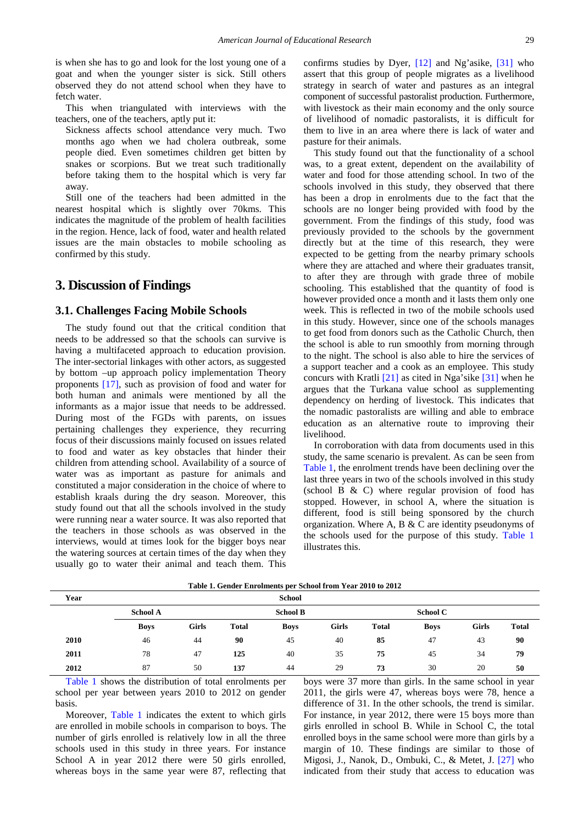is when she has to go and look for the lost young one of a goat and when the younger sister is sick. Still others observed they do not attend school when they have to fetch water.

This when triangulated with interviews with the teachers, one of the teachers, aptly put it:

Sickness affects school attendance very much. Two months ago when we had cholera outbreak, some people died. Even sometimes children get bitten by snakes or scorpions. But we treat such traditionally before taking them to the hospital which is very far away.

Still one of the teachers had been admitted in the nearest hospital which is slightly over 70kms. This indicates the magnitude of the problem of health facilities in the region. Hence, lack of food, water and health related issues are the main obstacles to mobile schooling as confirmed by this study.

## **3. Discussion of Findings**

#### **3.1. Challenges Facing Mobile Schools**

The study found out that the critical condition that needs to be addressed so that the schools can survive is having a multifaceted approach to education provision. The inter-sectorial linkages with other actors, as suggested by bottom –up approach policy implementation Theory proponents [\[17\],](#page-10-26) such as provision of food and water for both human and animals were mentioned by all the informants as a major issue that needs to be addressed. During most of the FGDs with parents, on issues pertaining challenges they experience, they recurring focus of their discussions mainly focused on issues related to food and water as key obstacles that hinder their children from attending school. Availability of a source of water was as important as pasture for animals and constituted a major consideration in the choice of where to establish kraals during the dry season. Moreover, this study found out that all the schools involved in the study were running near a water source. It was also reported that the teachers in those schools as was observed in the interviews, would at times look for the bigger boys near the watering sources at certain times of the day when they usually go to water their animal and teach them. This confirms studies by Dyer, [\[12\]](#page-10-30) and Ng'asike, [\[31\]](#page-10-19) who assert that this group of people migrates as a livelihood strategy in search of water and pastures as an integral component of successful pastoralist production. Furthermore, with livestock as their main economy and the only source of livelihood of nomadic pastoralists, it is difficult for them to live in an area where there is lack of water and pasture for their animals.

This study found out that the functionality of a school was, to a great extent, dependent on the availability of water and food for those attending school. In two of the schools involved in this study, they observed that there has been a drop in enrolments due to the fact that the schools are no longer being provided with food by the government. From the findings of this study, food was previously provided to the schools by the government directly but at the time of this research, they were expected to be getting from the nearby primary schools where they are attached and where their graduates transit, to after they are through with grade three of mobile schooling. This established that the quantity of food is however provided once a month and it lasts them only one week. This is reflected in two of the mobile schools used in this study. However, since one of the schools manages to get food from donors such as the Catholic Church, then the school is able to run smoothly from morning through to the night. The school is also able to hire the services of a support teacher and a cook as an employee. This study concurs with Kratli [\[21\]](#page-10-4) as cited in Nga'sike [\[31\]](#page-10-19) when he argues that the Turkana value school as supplementing dependency on herding of livestock. This indicates that the nomadic pastoralists are willing and able to embrace education as an alternative route to improving their livelihood.

In corroboration with data from documents used in this study, the same scenario is prevalent. As can be seen from [Table 1,](#page-7-0) the enrolment trends have been declining over the last three years in two of the schools involved in this study (school B & C) where regular provision of food has stopped. However, in school A, where the situation is different, food is still being sponsored by the church organization. Where A, B & C are identity pseudonyms of the schools used for the purpose of this study. [Table 1](#page-7-0) illustrates this.

<span id="page-7-0"></span>

| Year |                 |              |              | <b>School</b>   |              |              |                 |              |              |
|------|-----------------|--------------|--------------|-----------------|--------------|--------------|-----------------|--------------|--------------|
|      | <b>School A</b> |              |              | <b>School B</b> |              |              | <b>School C</b> |              |              |
|      | <b>Boys</b>     | <b>Girls</b> | <b>Total</b> | <b>Boys</b>     | <b>Girls</b> | <b>Total</b> | <b>Boys</b>     | <b>Girls</b> | <b>Total</b> |
| 2010 | 46              | 44           | 90           | 45              | 40           | 85           | 47              | 43           | 90           |
| 2011 | 78              | 47           | 125          | 40              | 35           | 75           | 45              | 34           | 79           |
| 2012 | 87              | 50           | 137          | 44              | 29           | 73           | 30              | 20           | 50           |

**Table 1. Gender Enrolments per School from Year 2010 to 2012**

[Table 1](#page-7-0) shows the distribution of total enrolments per school per year between years 2010 to 2012 on gender basis.

Moreover, [Table 1](#page-7-0) indicates the extent to which girls are enrolled in mobile schools in comparison to boys. The number of girls enrolled is relatively low in all the three schools used in this study in three years. For instance School A in year 2012 there were 50 girls enrolled, whereas boys in the same year were 87, reflecting that

boys were 37 more than girls. In the same school in year 2011, the girls were 47, whereas boys were 78, hence a difference of 31. In the other schools, the trend is similar. For instance, in year 2012, there were 15 boys more than girls enrolled in school B. While in School C, the total enrolled boys in the same school were more than girls by a margin of 10. These findings are similar to those of Migosi, J., Nanok, D., Ombuki, C., & Metet, J. [\[27\]](#page-10-31) who indicated from their study that access to education was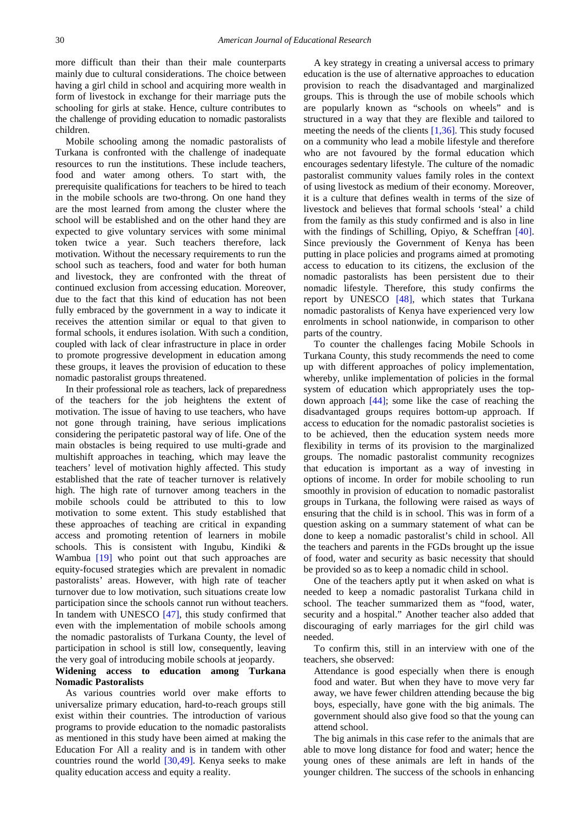more difficult than their than their male counterparts mainly due to cultural considerations. The choice between having a girl child in school and acquiring more wealth in form of livestock in exchange for their marriage puts the schooling for girls at stake. Hence, culture contributes to the challenge of providing education to nomadic pastoralists children.

Mobile schooling among the nomadic pastoralists of Turkana is confronted with the challenge of inadequate resources to run the institutions. These include teachers, food and water among others. To start with, the prerequisite qualifications for teachers to be hired to teach in the mobile schools are two-throng. On one hand they are the most learned from among the cluster where the school will be established and on the other hand they are expected to give voluntary services with some minimal token twice a year. Such teachers therefore, lack motivation. Without the necessary requirements to run the school such as teachers, food and water for both human and livestock, they are confronted with the threat of continued exclusion from accessing education. Moreover, due to the fact that this kind of education has not been fully embraced by the government in a way to indicate it receives the attention similar or equal to that given to formal schools, it endures isolation. With such a condition, coupled with lack of clear infrastructure in place in order to promote progressive development in education among these groups, it leaves the provision of education to these nomadic pastoralist groups threatened.

In their professional role as teachers, lack of preparedness of the teachers for the job heightens the extent of motivation. The issue of having to use teachers, who have not gone through training, have serious implications considering the peripatetic pastoral way of life. One of the main obstacles is being required to use multi-grade and multishift approaches in teaching, which may leave the teachers' level of motivation highly affected. This study established that the rate of teacher turnover is relatively high. The high rate of turnover among teachers in the mobile schools could be attributed to this to low motivation to some extent. This study established that these approaches of teaching are critical in expanding access and promoting retention of learners in mobile schools. This is consistent with Ingubu, Kindiki & Wambua [\[19\]](#page-10-32) who point out that such approaches are equity-focused strategies which are prevalent in nomadic pastoralists' areas. However, with high rate of teacher turnover due to low motivation, such situations create low participation since the schools cannot run without teachers. In tandem with UNESCO [\[47\],](#page-10-33) this study confirmed that even with the implementation of mobile schools among the nomadic pastoralists of Turkana County, the level of participation in school is still low, consequently, leaving the very goal of introducing mobile schools at jeopardy.

### **Widening access to education among Turkana Nomadic Pastoralists**

As various countries world over make efforts to universalize primary education, hard-to-reach groups still exist within their countries. The introduction of various programs to provide education to the nomadic pastoralists as mentioned in this study have been aimed at making the Education For All a reality and is in tandem with other countries round the world [\[30,49\].](#page-10-34) Kenya seeks to make quality education access and equity a reality.

A key strategy in creating a universal access to primary education is the use of alternative approaches to education provision to reach the disadvantaged and marginalized groups. This is through the use of mobile schools which are popularly known as "schools on wheels" and is structured in a way that they are flexible and tailored to meeting the needs of the clients  $[1,36]$ . This study focused on a community who lead a mobile lifestyle and therefore who are not favoured by the formal education which encourages sedentary lifestyle. The culture of the nomadic pastoralist community values family roles in the context of using livestock as medium of their economy. Moreover, it is a culture that defines wealth in terms of the size of livestock and believes that formal schools 'steal' a child from the family as this study confirmed and is also in line with the findings of Schilling, Opiyo, & Scheffran [\[40\].](#page-10-35) Since previously the Government of Kenya has been putting in place policies and programs aimed at promoting access to education to its citizens, the exclusion of the nomadic pastoralists has been persistent due to their nomadic lifestyle. Therefore, this study confirms the report by UNESCO [\[48\],](#page-10-0) which states that Turkana nomadic pastoralists of Kenya have experienced very low enrolments in school nationwide, in comparison to other parts of the country.

To counter the challenges facing Mobile Schools in Turkana County, this study recommends the need to come up with different approaches of policy implementation, whereby, unlike implementation of policies in the formal system of education which appropriately uses the topdown approach [\[44\];](#page-10-27) some like the case of reaching the disadvantaged groups requires bottom-up approach. If access to education for the nomadic pastoralist societies is to be achieved, then the education system needs more flexibility in terms of its provision to the marginalized groups. The nomadic pastoralist community recognizes that education is important as a way of investing in options of income. In order for mobile schooling to run smoothly in provision of education to nomadic pastoralist groups in Turkana, the following were raised as ways of ensuring that the child is in school. This was in form of a question asking on a summary statement of what can be done to keep a nomadic pastoralist's child in school. All the teachers and parents in the FGDs brought up the issue of food, water and security as basic necessity that should be provided so as to keep a nomadic child in school.

One of the teachers aptly put it when asked on what is needed to keep a nomadic pastoralist Turkana child in school. The teacher summarized them as "food, water, security and a hospital." Another teacher also added that discouraging of early marriages for the girl child was needed.

To confirm this, still in an interview with one of the teachers, she observed:

Attendance is good especially when there is enough food and water. But when they have to move very far away, we have fewer children attending because the big boys, especially, have gone with the big animals. The government should also give food so that the young can attend school.

The big animals in this case refer to the animals that are able to move long distance for food and water; hence the young ones of these animals are left in hands of the younger children. The success of the schools in enhancing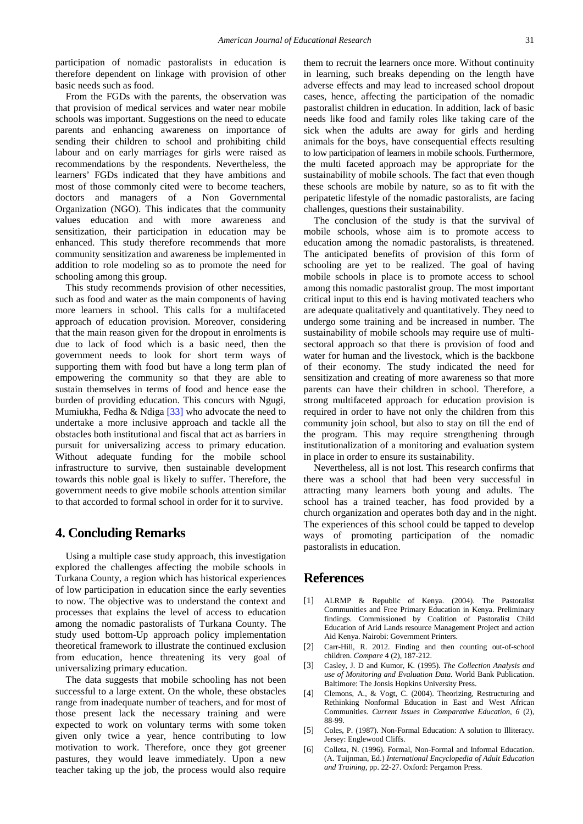participation of nomadic pastoralists in education is therefore dependent on linkage with provision of other basic needs such as food.

From the FGDs with the parents, the observation was that provision of medical services and water near mobile schools was important. Suggestions on the need to educate parents and enhancing awareness on importance of sending their children to school and prohibiting child labour and on early marriages for girls were raised as recommendations by the respondents. Nevertheless, the learners' FGDs indicated that they have ambitions and most of those commonly cited were to become teachers, doctors and managers of a Non Governmental Organization (NGO). This indicates that the community values education and with more awareness and sensitization, their participation in education may be enhanced. This study therefore recommends that more community sensitization and awareness be implemented in addition to role modeling so as to promote the need for schooling among this group.

This study recommends provision of other necessities, such as food and water as the main components of having more learners in school. This calls for a multifaceted approach of education provision. Moreover, considering that the main reason given for the dropout in enrolments is due to lack of food which is a basic need, then the government needs to look for short term ways of supporting them with food but have a long term plan of empowering the community so that they are able to sustain themselves in terms of food and hence ease the burden of providing education. This concurs with Ngugi, Mumiukha, Fedha & Ndiga [\[33\]](#page-10-36) who advocate the need to undertake a more inclusive approach and tackle all the obstacles both institutional and fiscal that act as barriers in pursuit for universalizing access to primary education. Without adequate funding for the mobile school infrastructure to survive, then sustainable development towards this noble goal is likely to suffer. Therefore, the government needs to give mobile schools attention similar to that accorded to formal school in order for it to survive.

## **4. Concluding Remarks**

Using a multiple case study approach, this investigation explored the challenges affecting the mobile schools in Turkana County, a region which has historical experiences of low participation in education since the early seventies to now. The objective was to understand the context and processes that explains the level of access to education among the nomadic pastoralists of Turkana County. The study used bottom-Up approach policy implementation theoretical framework to illustrate the continued exclusion from education, hence threatening its very goal of universalizing primary education.

The data suggests that mobile schooling has not been successful to a large extent. On the whole, these obstacles range from inadequate number of teachers, and for most of those present lack the necessary training and were expected to work on voluntary terms with some token given only twice a year, hence contributing to low motivation to work. Therefore, once they got greener pastures, they would leave immediately. Upon a new teacher taking up the job, the process would also require them to recruit the learners once more. Without continuity in learning, such breaks depending on the length have adverse effects and may lead to increased school dropout cases, hence, affecting the participation of the nomadic pastoralist children in education. In addition, lack of basic needs like food and family roles like taking care of the sick when the adults are away for girls and herding animals for the boys, have consequential effects resulting to low participation of learners in mobile schools. Furthermore, the multi faceted approach may be appropriate for the sustainability of mobile schools. The fact that even though these schools are mobile by nature, so as to fit with the peripatetic lifestyle of the nomadic pastoralists, are facing challenges, questions their sustainability.

The conclusion of the study is that the survival of mobile schools, whose aim is to promote access to education among the nomadic pastoralists, is threatened. The anticipated benefits of provision of this form of schooling are yet to be realized. The goal of having mobile schools in place is to promote access to school among this nomadic pastoralist group. The most important critical input to this end is having motivated teachers who are adequate qualitatively and quantitatively. They need to undergo some training and be increased in number. The sustainability of mobile schools may require use of multisectoral approach so that there is provision of food and water for human and the livestock, which is the backbone of their economy. The study indicated the need for sensitization and creating of more awareness so that more parents can have their children in school. Therefore, a strong multifaceted approach for education provision is required in order to have not only the children from this community join school, but also to stay on till the end of the program. This may require strengthening through institutionalization of a monitoring and evaluation system in place in order to ensure its sustainability.

Nevertheless, all is not lost. This research confirms that there was a school that had been very successful in attracting many learners both young and adults. The school has a trained teacher, has food provided by a church organization and operates both day and in the night. The experiences of this school could be tapped to develop ways of promoting participation of the nomadic pastoralists in education.

# **References**

- <span id="page-9-4"></span>[1] ALRMP & Republic of Kenya. (2004). The Pastoralist Communities and Free Primary Education in Kenya. Preliminary findings. Commissioned by Coalition of Pastoralist Child Education of Arid Lands resource Management Project and action Aid Kenya. Nairobi: Government Printers.
- <span id="page-9-1"></span>[2] Carr-Hill, R. 2012. Finding and then counting out-of-school children. *Compare* 4 (2), 187-212.
- <span id="page-9-3"></span>[3] Casley, J. D and Kumor, K. (1995). *The Collection Analysis and use of Monitoring and Evaluation Data.* World Bank Publication. Baltimore: The Jonsis Hopkins University Press.
- <span id="page-9-0"></span>[4] Clemons, A., & Vogt, C. (2004). Theorizing, Restructuring and Rethinking Nonformal Education in East and West African Communities. *Current Issues in Comparative Education, 6* (2), 88-99.
- <span id="page-9-2"></span>[5] Coles, P. (1987). Non-Formal Education: A solution to Illiteracy. Jersey: Englewood Cliffs.
- [6] Colleta, N. (1996). Formal, Non-Formal and Informal Education. (A. Tuijnman, Ed.) *International Encyclopedia of Adult Education and Training*, pp. 22-27. Oxford: Pergamon Press.